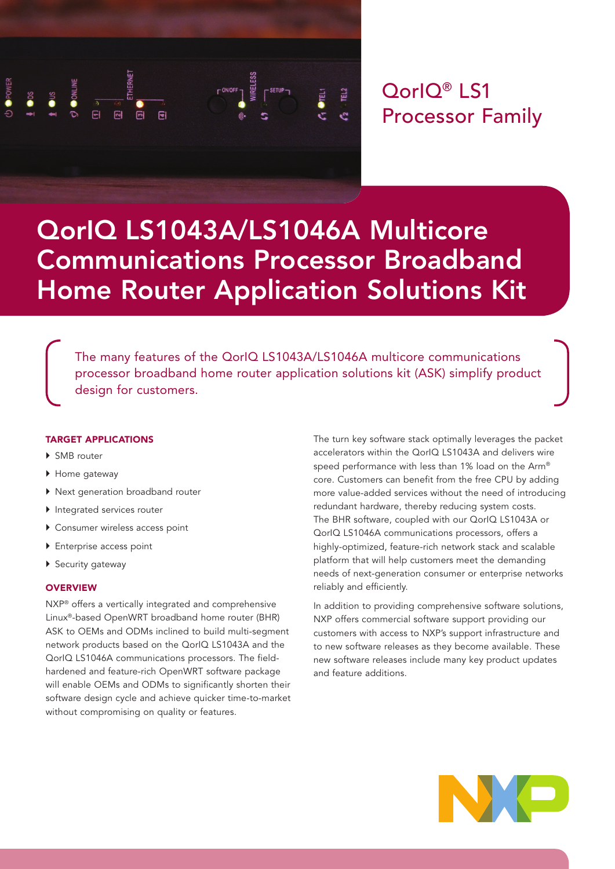

# QorIQ® LS1 Processor Family

# QorIQ LS1043A/LS1046A Multicore Communications Processor Broadband Home Router Application Solutions Kit

The many features of the QorIQ LS1043A/LS1046A multicore communications processor broadband home router application solutions kit (ASK) simplify product design for customers.

# TARGET APPLICATIONS

- ▶ SMB router
- ▶ Home gateway
- ▶ Next generation broadband router
- } Integrated services router
- ▶ Consumer wireless access point
- **I** Enterprise access point
- ▶ Security gateway

#### **OVERVIEW**

NXP® offers a vertically integrated and comprehensive Linux®-based OpenWRT broadband home router (BHR) ASK to OEMs and ODMs inclined to build multi-segment network products based on the QorIQ LS1043A and the QorIQ LS1046A communications processors. The fieldhardened and feature-rich OpenWRT software package will enable OEMs and ODMs to significantly shorten their software design cycle and achieve quicker time-to-market without compromising on quality or features.

The turn key software stack optimally leverages the packet accelerators within the QorIQ LS1043A and delivers wire speed performance with less than 1% load on the Arm® core. Customers can benefit from the free CPU by adding more value-added services without the need of introducing redundant hardware, thereby reducing system costs. The BHR software, coupled with our QorIQ LS1043A or QorIQ LS1046A communications processors, offers a highly-optimized, feature-rich network stack and scalable platform that will help customers meet the demanding needs of next-generation consumer or enterprise networks reliably and efficiently.

In addition to providing comprehensive software solutions, NXP offers commercial software support providing our customers with access to NXP's support infrastructure and to new software releases as they become available. These new software releases include many key product updates and feature additions.

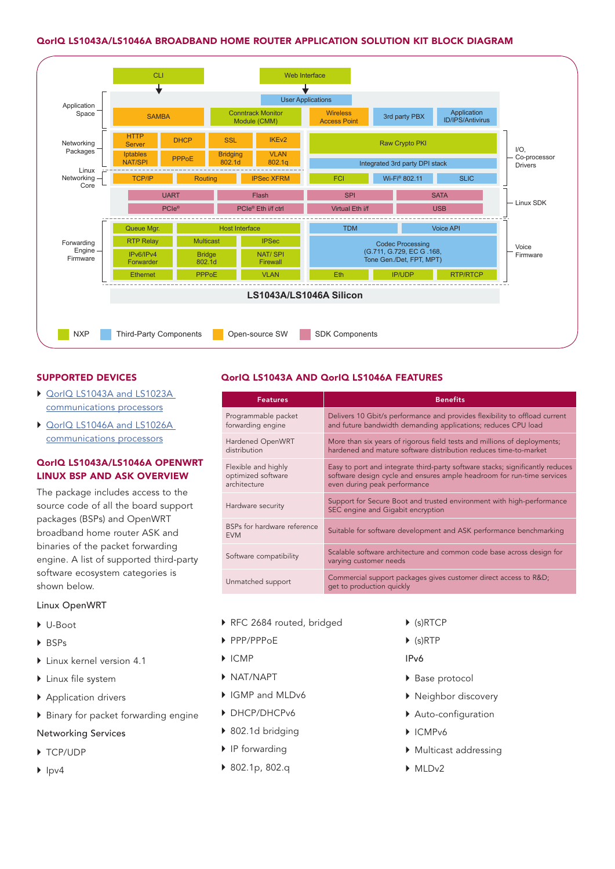### QorIQ LS1043A/LS1046A BROADBAND HOME ROUTER APPLICATION SOLUTION KIT BLOCK DIAGRAM



# SUPPORTED DEVICES

- ▶ QorlQ LS1043A and LS1023A [communications processors](https://www.nxp.com/products/microcontrollers-and-processors/arm-based-processors-and-mcus/qoriq-layerscape-arm-processors/qoriq-layerscape-1043a-and-1023a-multicore-communications-processors:LS1043A)
- ▶ QorlQ LS1046A and LS1026A [communications processors](https://www.nxp.com/products/microcontrollers-and-processors/arm-based-processors-and-mcus/qoriq-layerscape-arm-processors/qoriq-layerscape-1046a-and-1026a-multicore-communications-processors:LS1046A)

# QorIQ LS1043A/LS1046A OPENWRT LINUX BSP AND ASK OVERVIEW

The package includes access to the source code of all the board support packages (BSPs) and OpenWRT broadband home router ASK and binaries of the packet forwarding engine. A list of supported third-party software ecosystem categories is shown below.

#### Linux OpenWRT

- } U-Boot
- } BSPs
- **I** Linux kernel version 4.1
- } Linux file system
- ▶ Application drivers
- } Binary for packet forwarding engine
- Networking Services
- ▶ TCP/UDP
- $\blacktriangleright$  Ipv4

# QorIQ LS1043A AND QorIQ LS1046A FEATURES

| <b>Features</b>                                           | <b>Benefits</b>                                                                                                                                                                         |
|-----------------------------------------------------------|-----------------------------------------------------------------------------------------------------------------------------------------------------------------------------------------|
| Programmable packet<br>forwarding engine                  | Delivers 10 Gbit/s performance and provides flexibility to offload current<br>and future bandwidth demanding applications; reduces CPU load                                             |
| Hardened OpenWRT<br>distribution                          | More than six years of rigorous field tests and millions of deployments;<br>hardened and mature software distribution reduces time-to-market                                            |
| Flexible and highly<br>optimized software<br>architecture | Easy to port and integrate third-party software stacks; significantly reduces<br>software design cycle and ensures ample headroom for run-time services<br>even during peak performance |
| Hardware security                                         | Support for Secure Boot and trusted environment with high-performance<br>SEC engine and Gigabit encryption                                                                              |
| BSPs for hardware reference<br><b>EVM</b>                 | Suitable for software development and ASK performance benchmarking                                                                                                                      |
| Software compatibility                                    | Scalable software architecture and common code base across design for<br>varying customer needs                                                                                         |
| Unmatched support                                         | Commercial support packages gives customer direct access to R&D<br>get to production quickly                                                                                            |

- RFC 2684 routed, bridged
- } PPP/PPPoE
- } ICMP
- } NAT/NAPT
- ▶ IGMP and MLDv6
- } DHCP/DHCPv6
- ▶ 802.1d bridging
- ▶ IP forwarding
- } 802.1p, 802.q
- } (s)RTCP
- $\blacktriangleright$  (s)RTP
- IPv6
- ▶ Base protocol
- } Neighbor discovery
- } Auto-configuration
- } ICMPv6
- } Multicast addressing
- MLD<sub>v2</sub>